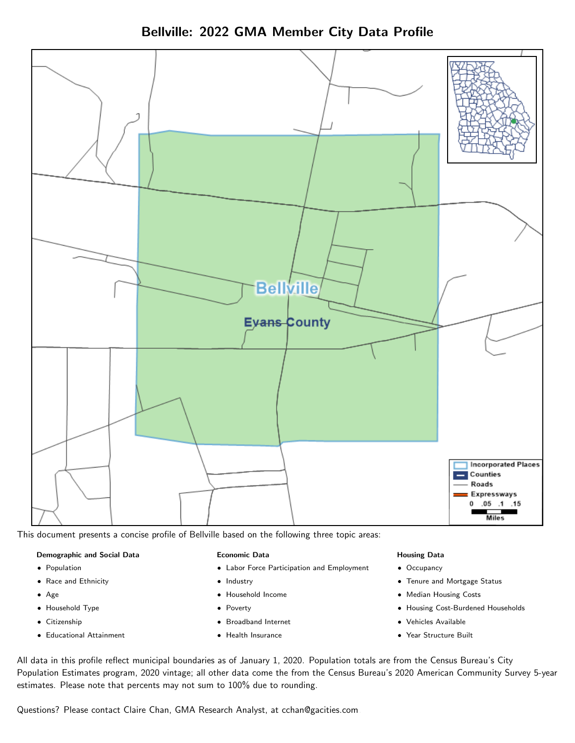Bellville: 2022 GMA Member City Data Profile



This document presents a concise profile of Bellville based on the following three topic areas:

#### Demographic and Social Data

- **•** Population
- Race and Ethnicity
- Age
- Household Type
- **Citizenship**
- Educational Attainment

#### Economic Data

- Labor Force Participation and Employment
- Industry
- Household Income
- Poverty
- Broadband Internet
- Health Insurance

#### Housing Data

- Occupancy
- Tenure and Mortgage Status
- Median Housing Costs
- Housing Cost-Burdened Households
- Vehicles Available
- Year Structure Built

All data in this profile reflect municipal boundaries as of January 1, 2020. Population totals are from the Census Bureau's City Population Estimates program, 2020 vintage; all other data come the from the Census Bureau's 2020 American Community Survey 5-year estimates. Please note that percents may not sum to 100% due to rounding.

Questions? Please contact Claire Chan, GMA Research Analyst, at [cchan@gacities.com.](mailto:cchan@gacities.com)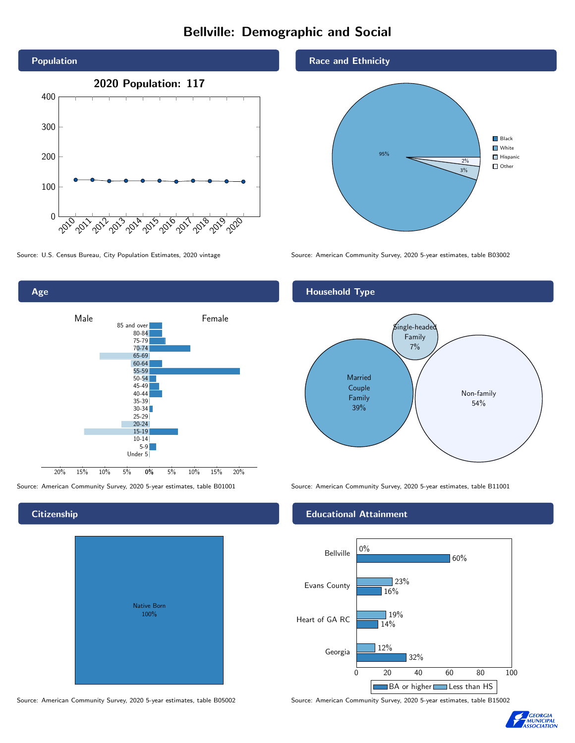# Bellville: Demographic and Social





#### **Citizenship**

| <b>Native Born</b><br>100% |  |
|----------------------------|--|

Source: American Community Survey, 2020 5-year estimates, table B05002 Source: American Community Survey, 2020 5-year estimates, table B15002

#### Race and Ethnicity

Household Type



Source: U.S. Census Bureau, City Population Estimates, 2020 vintage Source: American Community Survey, 2020 5-year estimates, table B03002

# Married Couple Family 39%  $\sin$ gle-headed Family 7% Non-family 54%

Source: American Community Survey, 2020 5-year estimates, table B01001 Source: American Community Survey, 2020 5-year estimates, table B11001

#### Educational Attainment



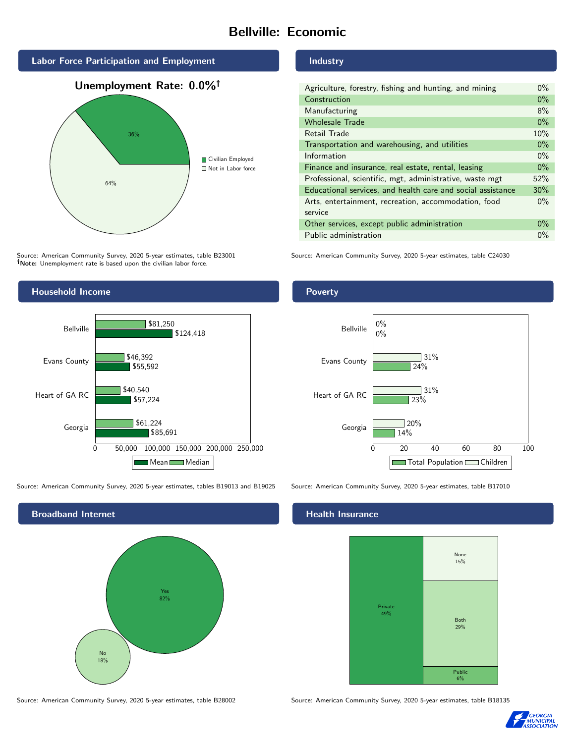# Bellville: Economic



Source: American Community Survey, 2020 5-year estimates, table B23001 Note: Unemployment rate is based upon the civilian labor force.

#### Household Income



Source: American Community Survey, 2020 5-year estimates, tables B19013 and B19025 Source: American Community Survey, 2020 5-year estimates, table B17010



Source: American Community Survey, 2020 5-year estimates, table B28002 Source: American Community Survey, 2020 5-year estimates, table B18135

#### Industry

| Agriculture, forestry, fishing and hunting, and mining      | $0\%$ |
|-------------------------------------------------------------|-------|
| Construction                                                |       |
| Manufacturing                                               | 8%    |
| <b>Wholesale Trade</b>                                      | $0\%$ |
| Retail Trade                                                | 10%   |
| Transportation and warehousing, and utilities               |       |
| Information                                                 |       |
| Finance and insurance, real estate, rental, leasing         |       |
| Professional, scientific, mgt, administrative, waste mgt    |       |
| Educational services, and health care and social assistance |       |
| Arts, entertainment, recreation, accommodation, food        |       |
| service                                                     |       |
| Other services, except public administration                |       |
| Public administration                                       |       |

Source: American Community Survey, 2020 5-year estimates, table C24030

#### Poverty



#### **Health Insurance**